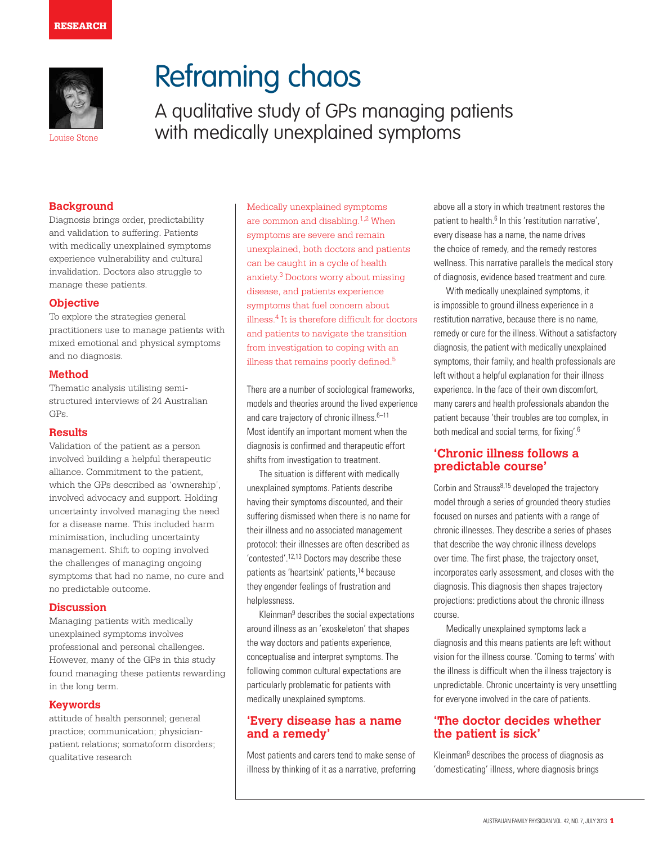

# Reframing chaos

A qualitative study of GPs managing patients Louise Stone **With medically unexplained symptoms** 

#### **Background**

Diagnosis brings order, predictability and validation to suffering. Patients with medically unexplained symptoms experience vulnerability and cultural invalidation. Doctors also struggle to manage these patients.

#### **Objective**

To explore the strategies general practitioners use to manage patients with mixed emotional and physical symptoms and no diagnosis.

#### **Method**

Thematic analysis utilising semistructured interviews of 24 Australian GPs.

## **Results**

Validation of the patient as a person involved building a helpful therapeutic alliance. Commitment to the patient, which the GPs described as 'ownership', involved advocacy and support. Holding uncertainty involved managing the need for a disease name. This included harm minimisation, including uncertainty management. Shift to coping involved the challenges of managing ongoing symptoms that had no name, no cure and no predictable outcome.

#### **Discussion**

Managing patients with medically unexplained symptoms involves professional and personal challenges. However, many of the GPs in this study found managing these patients rewarding in the long term.

#### **Keywords**

attitude of health personnel; general practice; communication; physicianpatient relations; somatoform disorders; qualitative research

Medically unexplained symptoms are common and disabling.1,2 When symptoms are severe and remain unexplained, both doctors and patients can be caught in a cycle of health anxiety.3 Doctors worry about missing disease, and patients experience symptoms that fuel concern about illness.4 It is therefore difficult for doctors and patients to navigate the transition from investigation to coping with an illness that remains poorly defined.<sup>5</sup>

There are a number of sociological frameworks, models and theories around the lived experience and care trajectory of chronic illness.<sup>6-11</sup> Most identify an important moment when the diagnosis is confirmed and therapeutic effort shifts from investigation to treatment.

The situation is different with medically unexplained symptoms. Patients describe having their symptoms discounted, and their suffering dismissed when there is no name for their illness and no associated management protocol: their illnesses are often described as 'contested'.12,13 Doctors may describe these patients as 'heartsink' patients,<sup>14</sup> because they engender feelings of frustration and helplessness.

Kleinman9 describes the social expectations around illness as an 'exoskeleton' that shapes the way doctors and patients experience, conceptualise and interpret symptoms. The following common cultural expectations are particularly problematic for patients with medically unexplained symptoms.

# **'Every disease has a name and a remedy'**

Most patients and carers tend to make sense of illness by thinking of it as a narrative, preferring

above all a story in which treatment restores the patient to health.<sup>6</sup> In this 'restitution narrative', every disease has a name, the name drives the choice of remedy, and the remedy restores wellness. This narrative parallels the medical story of diagnosis, evidence based treatment and cure.

With medically unexplained symptoms, it is impossible to ground illness experience in a restitution narrative, because there is no name, remedy or cure for the illness. Without a satisfactory diagnosis, the patient with medically unexplained symptoms, their family, and health professionals are left without a helpful explanation for their illness experience. In the face of their own discomfort, many carers and health professionals abandon the patient because 'their troubles are too complex, in both medical and social terms, for fixing'.6

# **'Chronic illness follows a predictable course'**

Corbin and Strauss $8,15$  developed the trajectory model through a series of grounded theory studies focused on nurses and patients with a range of chronic illnesses. They describe a series of phases that describe the way chronic illness develops over time. The first phase, the trajectory onset, incorporates early assessment, and closes with the diagnosis. This diagnosis then shapes trajectory projections: predictions about the chronic illness course.

Medically unexplained symptoms lack a diagnosis and this means patients are left without vision for the illness course. 'Coming to terms' with the illness is difficult when the illness trajectory is unpredictable. Chronic uncertainty is very unsettling for everyone involved in the care of patients.

# **'The doctor decides whether the patient is sick'**

Kleinman9 describes the process of diagnosis as 'domesticating' illness, where diagnosis brings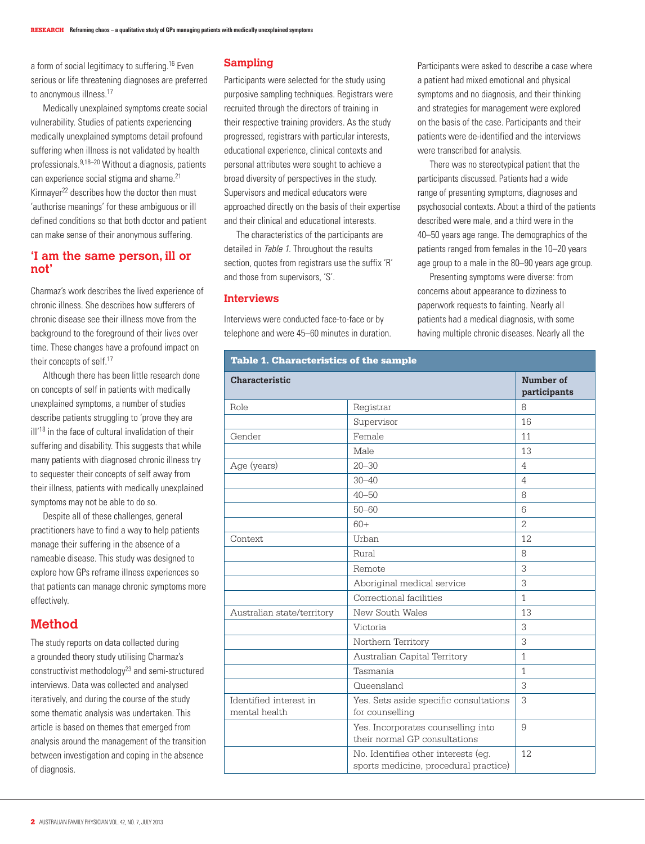a form of social legitimacy to suffering.<sup>16</sup> Even serious or life threatening diagnoses are preferred to anonymous illness.<sup>17</sup>

Medically unexplained symptoms create social vulnerability. Studies of patients experiencing medically unexplained symptoms detail profound suffering when illness is not validated by health professionals.9,18–20 Without a diagnosis, patients can experience social stigma and shame.<sup>21</sup> Kirmayer<sup>22</sup> describes how the doctor then must 'authorise meanings' for these ambiguous or ill defined conditions so that both doctor and patient can make sense of their anonymous suffering.

# **'I am the same person, ill or not'**

Charmaz's work describes the lived experience of chronic illness. She describes how sufferers of chronic disease see their illness move from the background to the foreground of their lives over time. These changes have a profound impact on their concepts of self.<sup>17</sup>

Although there has been little research done on concepts of self in patients with medically unexplained symptoms, a number of studies describe patients struggling to 'prove they are ill<sup>'18</sup> in the face of cultural invalidation of their suffering and disability. This suggests that while many patients with diagnosed chronic illness try to sequester their concepts of self away from their illness, patients with medically unexplained symptoms may not be able to do so.

Despite all of these challenges, general practitioners have to find a way to help patients manage their suffering in the absence of a nameable disease. This study was designed to explore how GPs reframe illness experiences so that patients can manage chronic symptoms more effectively.

# **Method**

The study reports on data collected during a grounded theory study utilising Charmaz's constructivist methodology23 and semi-structured interviews. Data was collected and analysed iteratively, and during the course of the study some thematic analysis was undertaken. This article is based on themes that emerged from analysis around the management of the transition between investigation and coping in the absence of diagnosis.

#### **Sampling**

Participants were selected for the study using purposive sampling techniques. Registrars were recruited through the directors of training in their respective training providers. As the study progressed, registrars with particular interests, educational experience, clinical contexts and personal attributes were sought to achieve a broad diversity of perspectives in the study. Supervisors and medical educators were approached directly on the basis of their expertise and their clinical and educational interests.

The characteristics of the participants are detailed in Table 1. Throughout the results section, quotes from registrars use the suffix 'R' and those from supervisors, 'S'.

### **Interviews**

Interviews were conducted face-to-face or by telephone and were 45–60 minutes in duration.

Table 1. Characteristics of the sample

Participants were asked to describe a case where a patient had mixed emotional and physical symptoms and no diagnosis, and their thinking and strategies for management were explored on the basis of the case. Participants and their patients were de-identified and the interviews were transcribed for analysis.

There was no stereotypical patient that the participants discussed. Patients had a wide range of presenting symptoms, diagnoses and psychosocial contexts. About a third of the patients described were male, and a third were in the 40–50 years age range. The demographics of the patients ranged from females in the 10–20 years age group to a male in the 80–90 years age group.

Presenting symptoms were diverse: from concerns about appearance to dizziness to paperwork requests to fainting. Nearly all patients had a medical diagnosis, with some having multiple chronic diseases. Nearly all the

| Characteristic                          |                                                                              | Number of<br>participants |
|-----------------------------------------|------------------------------------------------------------------------------|---------------------------|
| Role                                    | Registrar                                                                    | 8                         |
|                                         | Supervisor                                                                   | 16                        |
| Gender                                  | Female                                                                       | 11                        |
|                                         | Male                                                                         | 13                        |
| Age (years)                             | $20 - 30$                                                                    | $\overline{4}$            |
|                                         | $30 - 40$                                                                    | $\overline{4}$            |
|                                         | $40 - 50$                                                                    | 8                         |
|                                         | $50 - 60$                                                                    | 6                         |
|                                         | $60+$                                                                        | $\overline{2}$            |
| Context                                 | Urban                                                                        | 12.                       |
|                                         | Rural                                                                        | 8                         |
|                                         | Remote                                                                       | 3                         |
|                                         | Aboriginal medical service                                                   | 3                         |
|                                         | Correctional facilities                                                      | $\mathbf{1}$              |
| Australian state/territory              | New South Wales                                                              | 13                        |
|                                         | Victoria                                                                     | 3                         |
|                                         | Northern Territory                                                           | 3                         |
|                                         | Australian Capital Territory                                                 | 1                         |
|                                         | Tasmania                                                                     | $\mathbf{1}$              |
|                                         | Oueensland                                                                   | 3                         |
| Identified interest in<br>mental health | Yes. Sets aside specific consultations<br>for counselling                    | 3                         |
|                                         | Yes. Incorporates counselling into<br>their normal GP consultations          | 9                         |
|                                         | No. Identifies other interests (eg.<br>sports medicine, procedural practice) | 12.                       |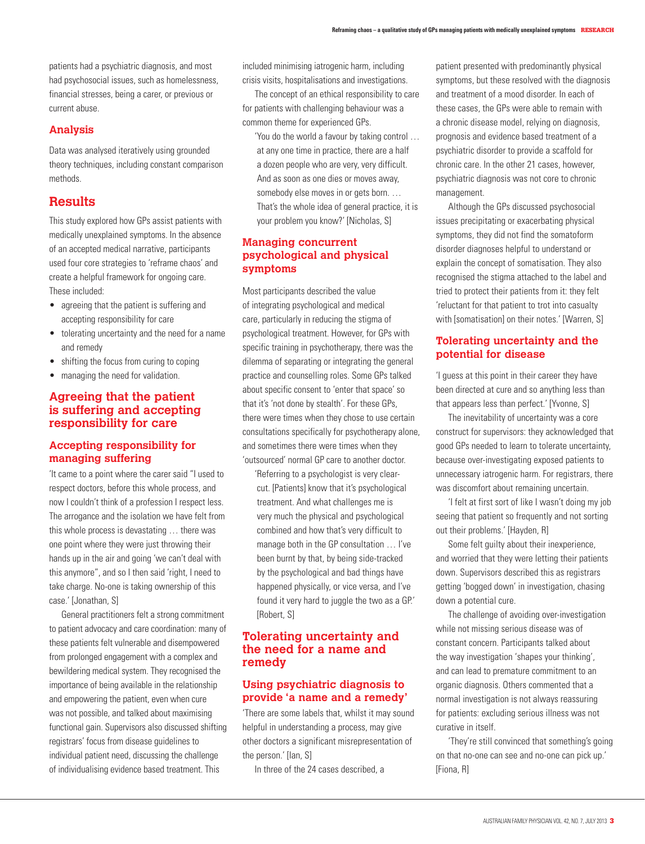patients had a psychiatric diagnosis, and most had psychosocial issues, such as homelessness, financial stresses, being a carer, or previous or current abuse.

#### **Analysis**

Data was analysed iteratively using grounded theory techniques, including constant comparison methods.

# **Results**

This study explored how GPs assist patients with medically unexplained symptoms. In the absence of an accepted medical narrative, participants used four core strategies to 'reframe chaos' and create a helpful framework for ongoing care. These included:

- • agreeing that the patient is suffering and accepting responsibility for care
- tolerating uncertainty and the need for a name and remedy
- shifting the focus from curing to coping
- managing the need for validation.

# **Agreeing that the patient is suffering and accepting responsibility for care**

# **Accepting responsibility for managing suffering**

'It came to a point where the carer said "I used to respect doctors, before this whole process, and now I couldn't think of a profession I respect less. The arrogance and the isolation we have felt from this whole process is devastating … there was one point where they were just throwing their hands up in the air and going 'we can't deal with this anymore", and so I then said 'right, I need to take charge. No-one is taking ownership of this case.' [Jonathan, S]

General practitioners felt a strong commitment to patient advocacy and care coordination: many of these patients felt vulnerable and disempowered from prolonged engagement with a complex and bewildering medical system. They recognised the importance of being available in the relationship and empowering the patient, even when cure was not possible, and talked about maximising functional gain. Supervisors also discussed shifting registrars' focus from disease guidelines to individual patient need, discussing the challenge of individualising evidence based treatment. This

included minimising iatrogenic harm, including crisis visits, hospitalisations and investigations.

The concept of an ethical responsibility to care for patients with challenging behaviour was a common theme for experienced GPs.

' You do the world a favour by taking control … at any one time in practice, there are a half a dozen people who are very, very difficult. And as soon as one dies or moves away, somebody else moves in or gets born. … That's the whole idea of general practice, it is your problem you know?' [Nicholas, S]

# **Managing concurrent psychological and physical symptoms**

Most participants described the value of integrating psychological and medical care, particularly in reducing the stigma of psychological treatment. However, for GPs with specific training in psychotherapy, there was the dilemma of separating or integrating the general practice and counselling roles. Some GPs talked about specific consent to 'enter that space' so that it's 'not done by stealth'. For these GPs, there were times when they chose to use certain consultations specifically for psychotherapy alone, and sometimes there were times when they 'outsourced' normal GP care to another doctor.

'Referring to a psychologist is very clearcut. [Patients] know that it's psychological treatment. And what challenges me is very much the physical and psychological combined and how that's very difficult to manage both in the GP consultation … I've been burnt by that, by being side-tracked by the psychological and bad things have happened physically, or vice versa, and I've found it very hard to juggle the two as a GP.' [Robert, S]

# **Tolerating uncertainty and the need for a name and remedy**

## **Using psychiatric diagnosis to provide 'a name and a remedy'**

'There are some labels that, whilst it may sound helpful in understanding a process, may give other doctors a significant misrepresentation of the person.' [Ian, S]

In three of the 24 cases described, a

patient presented with predominantly physical symptoms, but these resolved with the diagnosis and treatment of a mood disorder. In each of these cases, the GPs were able to remain with a chronic disease model, relying on diagnosis, prognosis and evidence based treatment of a psychiatric disorder to provide a scaffold for chronic care. In the other 21 cases, however, psychiatric diagnosis was not core to chronic management.

Although the GPs discussed psychosocial issues precipitating or exacerbating physical symptoms, they did not find the somatoform disorder diagnoses helpful to understand or explain the concept of somatisation. They also recognised the stigma attached to the label and tried to protect their patients from it: they felt 'reluctant for that patient to trot into casualty with [somatisation] on their notes.' [Warren, S]

# **Tolerating uncertainty and the potential for disease**

'I guess at this point in their career they have been directed at cure and so anything less than that appears less than perfect.' [Yvonne, S]

 The inevitability of uncertainty was a core construct for supervisors: they acknowledged that good GPs needed to learn to tolerate uncertainty, because over-investigating exposed patients to unnecessary iatrogenic harm. For registrars, there was discomfort about remaining uncertain.

'I felt at first sort of like I wasn't doing my job seeing that patient so frequently and not sorting out their problems.' [Hayden, R]

 Some felt guilty about their inexperience, and worried that they were letting their patients down. Supervisors described this as registrars getting 'bogged down' in investigation, chasing down a potential cure.

The challenge of avoiding over-investigation while not missing serious disease was of constant concern. Participants talked about the way investigation 'shapes your thinking', and can lead to premature commitment to an organic diagnosis. Others commented that a normal investigation is not always reassuring for patients: excluding serious illness was not curative in itself.

'They're still convinced that something's going on that no-one can see and no-one can pick up.' [Fiona, R]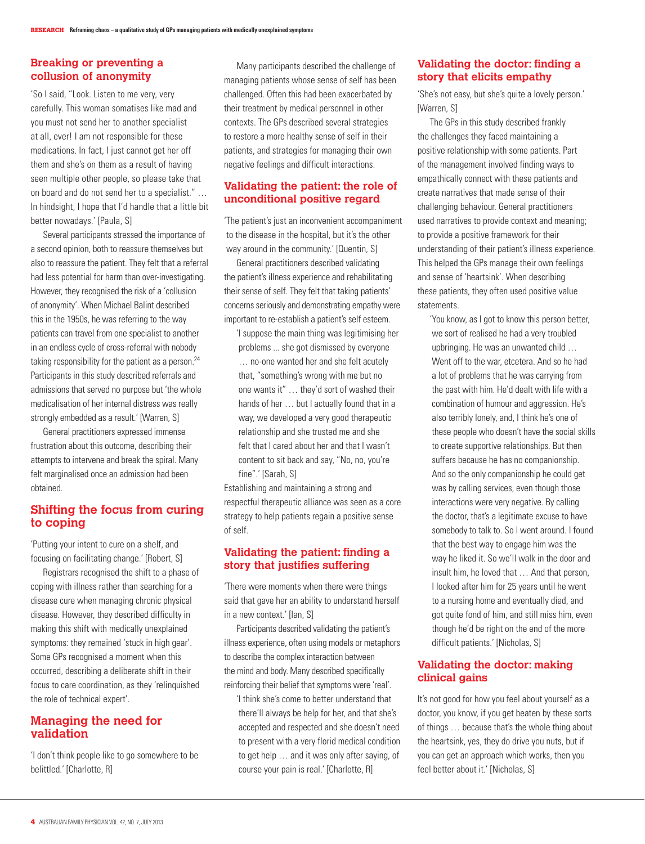# **Breaking or preventing a collusion of anonymity**

'So I said, "Look. Listen to me very, very carefully. This woman somatises like mad and you must not send her to another specialist at all, ever! I am not responsible for these medications. In fact, I just cannot get her off them and she's on them as a result of having seen multiple other people, so please take that on board and do not send her to a specialist." … In hindsight, I hope that I'd handle that a little bit better nowadays.' [Paula, S]

 Several participants stressed the importance of a second opinion, both to reassure themselves but also to reassure the patient. They felt that a referral had less potential for harm than over-investigating. However, they recognised the risk of a 'collusion of anonymity'. When Michael Balint described this in the 1950s, he was referring to the way patients can travel from one specialist to another in an endless cycle of cross-referral with nobody taking responsibility for the patient as a person.<sup>24</sup> Participants in this study described referrals and admissions that served no purpose but 'the whole medicalisation of her internal distress was really strongly embedded as a result.' [Warren, S]

General practitioners expressed immense frustration about this outcome, describing their attempts to intervene and break the spiral. Many felt marginalised once an admission had been obtained.

# **Shifting the focus from curing to coping**

'Putting your intent to cure on a shelf, and focusing on facilitating change.' [Robert, S]

 Registrars recognised the shift to a phase of coping with illness rather than searching for a disease cure when managing chronic physical disease. However, they described difficulty in making this shift with medically unexplained symptoms: they remained 'stuck in high gear'. Some GPs recognised a moment when this occurred, describing a deliberate shift in their focus to care coordination, as they 'relinquished the role of technical expert'.

# **Managing the need for validation**

'I don't think people like to go somewhere to be belittled.' [Charlotte, R]

 Many participants described the challenge of managing patients whose sense of self has been challenged. Often this had been exacerbated by their treatment by medical personnel in other contexts. The GPs described several strategies to restore a more healthy sense of self in their patients, and strategies for managing their own negative feelings and difficult interactions.

## **Validating the patient: the role of unconditional positive regard**

' The patient's just an inconvenient accompaniment to the disease in the hospital, but it's the other way around in the community.' [Quentin, S]

General practitioners described validating the patient's illness experience and rehabilitating their sense of self. They felt that taking patients' concerns seriously and demonstrating empathy were important to re-establish a patient's self esteem.

'I suppose the main thing was legitimising her problems ... she got dismissed by everyone … no-one wanted her and she felt acutely that, "something's wrong with me but no one wants it" … they'd sort of washed their hands of her … but I actually found that in a way, we developed a very good therapeutic relationship and she trusted me and she felt that I cared about her and that I wasn't content to sit back and say, "No, no, you're fine".' [Sarah, S]

Establishing and maintaining a strong and respectful therapeutic alliance was seen as a core strategy to help patients regain a positive sense of self.

## **Validating the patient: finding a story that justifies suffering**

'There were moments when there were things said that gave her an ability to understand herself in a new context.' [Ian, S]

Participants described validating the patient's illness experience, often using models or metaphors to describe the complex interaction between the mind and body. Many described specifically reinforcing their belief that symptoms were 'real'.

'I think she's come to better understand that there'll always be help for her, and that she's accepted and respected and she doesn't need to present with a very florid medical condition to get help … and it was only after saying, of course your pain is real.' [Charlotte, R]

# **Validating the doctor: finding a story that elicits empathy**

'She's not easy, but she's quite a lovely person.' [Warren, S]

 The GPs in this study described frankly the challenges they faced maintaining a positive relationship with some patients. Part of the management involved finding ways to empathically connect with these patients and create narratives that made sense of their challenging behaviour. General practitioners used narratives to provide context and meaning; to provide a positive framework for their understanding of their patient's illness experience. This helped the GPs manage their own feelings and sense of 'heartsink'. When describing these patients, they often used positive value statements.

' You know, as I got to know this person better, we sort of realised he had a very troubled upbringing. He was an unwanted child … Went off to the war, etcetera. And so he had a lot of problems that he was carrying from the past with him. He'd dealt with life with a combination of humour and aggression. He's also terribly lonely, and, I think he's one of these people who doesn't have the social skills to create supportive relationships. But then suffers because he has no companionship. And so the only companionship he could get was by calling services, even though those interactions were very negative. By calling the doctor, that's a legitimate excuse to have somebody to talk to. So I went around. I found that the best way to engage him was the way he liked it. So we'll walk in the door and insult him, he loved that … And that person, I looked after him for 25 years until he went to a nursing home and eventually died, and got quite fond of him, and still miss him, even though he'd be right on the end of the more difficult patients.' [Nicholas, S]

# **Validating the doctor: making clinical gains**

 It's not good for how you feel about yourself as a doctor, you know, if you get beaten by these sorts of things … because that's the whole thing about the heartsink, yes, they do drive you nuts, but if you can get an approach which works, then you feel better about it.' [Nicholas, S]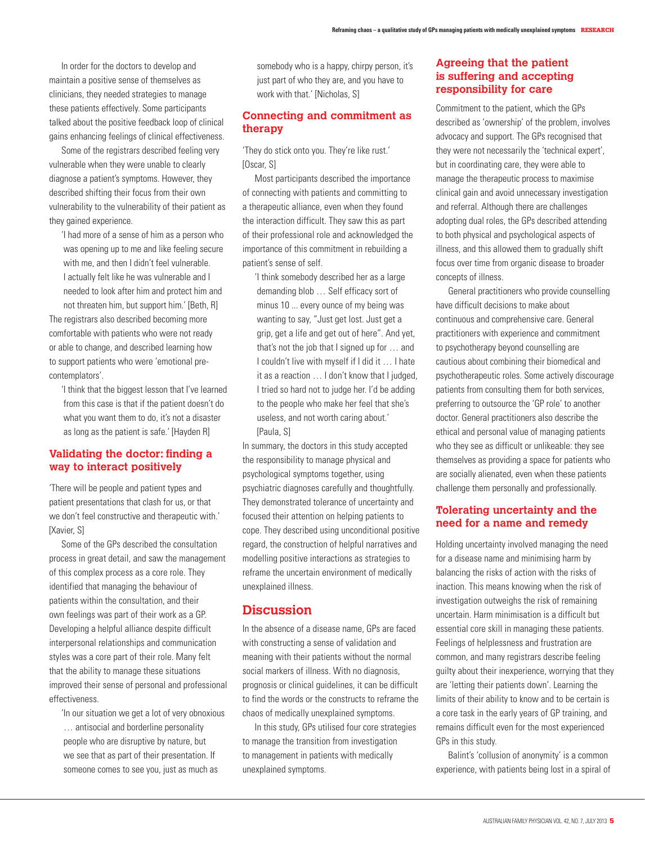In order for the doctors to develop and maintain a positive sense of themselves as clinicians, they needed strategies to manage these patients effectively. Some participants talked about the positive feedback loop of clinical gains enhancing feelings of clinical effectiveness.

Some of the registrars described feeling very vulnerable when they were unable to clearly diagnose a patient's symptoms. However, they described shifting their focus from their own vulnerability to the vulnerability of their patient as they gained experience.

' I had more of a sense of him as a person who was opening up to me and like feeling secure with me, and then I didn't feel vulnerable. I actually felt like he was vulnerable and I needed to look after him and protect him and not threaten him, but support him.' [Beth, R]

The registrars also described becoming more comfortable with patients who were not ready or able to change, and described learning how to support patients who were 'emotional precontemplators'.

'I think that the biggest lesson that I've learned from this case is that if the patient doesn't do what you want them to do, it's not a disaster as long as the patient is safe.' [Hayden R]

## **Validating the doctor: finding a way to interact positively**

'There will be people and patient types and patient presentations that clash for us, or that we don't feel constructive and therapeutic with.' [Xavier, S]

Some of the GPs described the consultation process in great detail, and saw the management of this complex process as a core role. They identified that managing the behaviour of patients within the consultation, and their own feelings was part of their work as a GP. Developing a helpful alliance despite difficult interpersonal relationships and communication styles was a core part of their role. Many felt that the ability to manage these situations improved their sense of personal and professional effectiveness.

' In our situation we get a lot of very obnoxious

… antisocial and borderline personality people who are disruptive by nature, but we see that as part of their presentation. If someone comes to see you, just as much as somebody who is a happy, chirpy person, it's just part of who they are, and you have to work with that.' [Nicholas, S]

# **Connecting and commitment as therapy**

'They do stick onto you. They're like rust.' [Oscar, S]

 Most participants described the importance of connecting with patients and committing to a therapeutic alliance, even when they found the interaction difficult. They saw this as part of their professional role and acknowledged the importance of this commitment in rebuilding a patient's sense of self.

'I think somebody described her as a large demanding blob … Self efficacy sort of minus 10 ... every ounce of my being was wanting to say, "Just get lost. Just get a grip, get a life and get out of here". And yet, that's not the job that I signed up for … and I couldn't live with myself if I did it … I hate it as a reaction … I don't know that I judged, I tried so hard not to judge her. I'd be adding to the people who make her feel that she's useless, and not worth caring about.' [Paula, S]

In summary, the doctors in this study accepted the responsibility to manage physical and psychological symptoms together, using psychiatric diagnoses carefully and thoughtfully. They demonstrated tolerance of uncertainty and focused their attention on helping patients to cope. They described using unconditional positive regard, the construction of helpful narratives and modelling positive interactions as strategies to reframe the uncertain environment of medically unexplained illness.

# **Discussion**

In the absence of a disease name, GPs are faced with constructing a sense of validation and meaning with their patients without the normal social markers of illness. With no diagnosis, prognosis or clinical guidelines, it can be difficult to find the words or the constructs to reframe the chaos of medically unexplained symptoms.

In this study, GPs utilised four core strategies to manage the transition from investigation to management in patients with medically unexplained symptoms.

# **Agreeing that the patient is suffering and accepting responsibility for care**

Commitment to the patient, which the GPs described as 'ownership' of the problem, involves advocacy and support. The GPs recognised that they were not necessarily the 'technical expert', but in coordinating care, they were able to manage the therapeutic process to maximise clinical gain and avoid unnecessary investigation and referral. Although there are challenges adopting dual roles, the GPs described attending to both physical and psychological aspects of illness, and this allowed them to gradually shift focus over time from organic disease to broader concepts of illness.

General practitioners who provide counselling have difficult decisions to make about continuous and comprehensive care. General practitioners with experience and commitment to psychotherapy beyond counselling are cautious about combining their biomedical and psychotherapeutic roles. Some actively discourage patients from consulting them for both services, preferring to outsource the 'GP role' to another doctor. General practitioners also describe the ethical and personal value of managing patients who they see as difficult or unlikeable: they see themselves as providing a space for patients who are socially alienated, even when these patients challenge them personally and professionally.

#### **Tolerating uncertainty and the need for a name and remedy**

Holding uncertainty involved managing the need for a disease name and minimising harm by balancing the risks of action with the risks of inaction. This means knowing when the risk of investigation outweighs the risk of remaining uncertain. Harm minimisation is a difficult but essential core skill in managing these patients. Feelings of helplessness and frustration are common, and many registrars describe feeling guilty about their inexperience, worrying that they are 'letting their patients down'. Learning the limits of their ability to know and to be certain is a core task in the early years of GP training, and remains difficult even for the most experienced GPs in this study.

Balint's 'collusion of anonymity' is a common experience, with patients being lost in a spiral of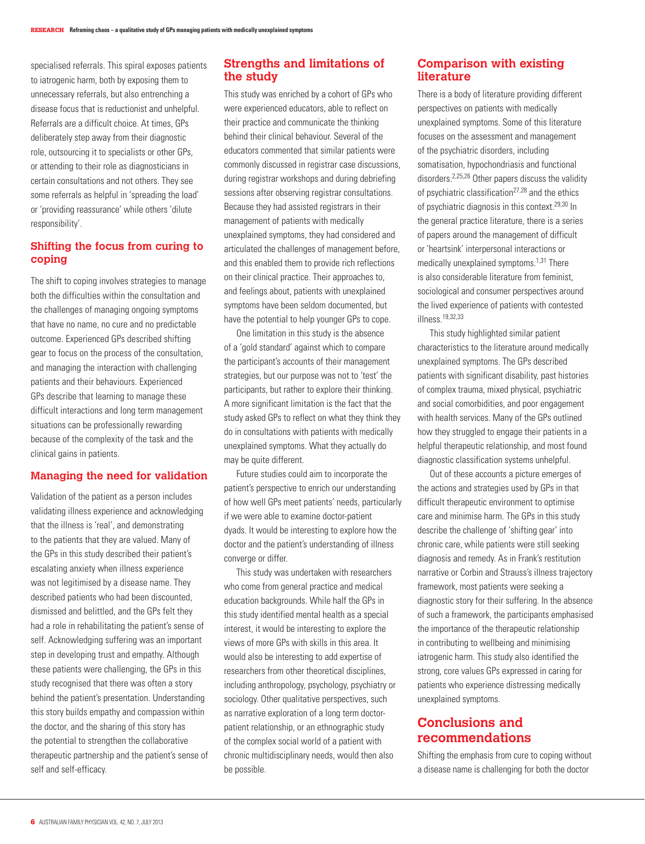specialised referrals. This spiral exposes patients to iatrogenic harm, both by exposing them to unnecessary referrals, but also entrenching a disease focus that is reductionist and unhelpful. Referrals are a difficult choice. At times, GPs deliberately step away from their diagnostic role, outsourcing it to specialists or other GPs, or attending to their role as diagnosticians in certain consultations and not others. They see some referrals as helpful in 'spreading the load' or 'providing reassurance' while others 'dilute responsibility'.

# **Shifting the focus from curing to coping**

The shift to coping involves strategies to manage both the difficulties within the consultation and the challenges of managing ongoing symptoms that have no name, no cure and no predictable outcome. Experienced GPs described shifting gear to focus on the process of the consultation, and managing the interaction with challenging patients and their behaviours. Experienced GPs describe that learning to manage these difficult interactions and long term management situations can be professionally rewarding because of the complexity of the task and the clinical gains in patients.

## **Managing the need for validation**

Validation of the patient as a person includes validating illness experience and acknowledging that the illness is 'real', and demonstrating to the patients that they are valued. Many of the GPs in this study described their patient's escalating anxiety when illness experience was not legitimised by a disease name. They described patients who had been discounted, dismissed and belittled, and the GPs felt they had a role in rehabilitating the patient's sense of self. Acknowledging suffering was an important step in developing trust and empathy. Although these patients were challenging, the GPs in this study recognised that there was often a story behind the patient's presentation. Understanding this story builds empathy and compassion within the doctor, and the sharing of this story has the potential to strengthen the collaborative therapeutic partnership and the patient's sense of self and self-efficacy.

# **Strengths and limitations of the study**

This study was enriched by a cohort of GPs who were experienced educators, able to reflect on their practice and communicate the thinking behind their clinical behaviour. Several of the educators commented that similar patients were commonly discussed in registrar case discussions, during registrar workshops and during debriefing sessions after observing registrar consultations. Because they had assisted registrars in their management of patients with medically unexplained symptoms, they had considered and articulated the challenges of management before, and this enabled them to provide rich reflections on their clinical practice. Their approaches to, and feelings about, patients with unexplained symptoms have been seldom documented, but have the potential to help younger GPs to cope.

One limitation in this study is the absence of a 'gold standard' against which to compare the participant's accounts of their management strategies, but our purpose was not to 'test' the participants, but rather to explore their thinking. A more significant limitation is the fact that the study asked GPs to reflect on what they think they do in consultations with patients with medically unexplained symptoms. What they actually do may be quite different.

Future studies could aim to incorporate the patient's perspective to enrich our understanding of how well GPs meet patients' needs, particularly if we were able to examine doctor-patient dyads. It would be interesting to explore how the doctor and the patient's understanding of illness converge or differ.

This study was undertaken with researchers who come from general practice and medical education backgrounds. While half the GPs in this study identified mental health as a special interest, it would be interesting to explore the views of more GPs with skills in this area. It would also be interesting to add expertise of researchers from other theoretical disciplines, including anthropology, psychology, psychiatry or sociology. Other qualitative perspectives, such as narrative exploration of a long term doctorpatient relationship, or an ethnographic study of the complex social world of a patient with chronic multidisciplinary needs, would then also be possible.

# **Comparison with existing literature**

There is a body of literature providing different perspectives on patients with medically unexplained symptoms. Some of this literature focuses on the assessment and management of the psychiatric disorders, including somatisation, hypochondriasis and functional disorders.2,25,26 Other papers discuss the validity of psychiatric classification $27,28$  and the ethics of psychiatric diagnosis in this context.29,30 In the general practice literature, there is a series of papers around the management of difficult or 'heartsink' interpersonal interactions or medically unexplained symptoms.<sup>1,31</sup> There is also considerable literature from feminist, sociological and consumer perspectives around the lived experience of patients with contested illness.19,32,33

This study highlighted similar patient characteristics to the literature around medically unexplained symptoms. The GPs described patients with significant disability, past histories of complex trauma, mixed physical, psychiatric and social comorbidities, and poor engagement with health services. Many of the GPs outlined how they struggled to engage their patients in a helpful therapeutic relationship, and most found diagnostic classification systems unhelpful.

Out of these accounts a picture emerges of the actions and strategies used by GPs in that difficult therapeutic environment to optimise care and minimise harm. The GPs in this study describe the challenge of 'shifting gear' into chronic care, while patients were still seeking diagnosis and remedy. As in Frank's restitution narrative or Corbin and Strauss's illness trajectory framework, most patients were seeking a diagnostic story for their suffering. In the absence of such a framework, the participants emphasised the importance of the therapeutic relationship in contributing to wellbeing and minimising iatrogenic harm. This study also identified the strong, core values GPs expressed in caring for patients who experience distressing medically unexplained symptoms.

# **Conclusions and recommendations**

Shifting the emphasis from cure to coping without a disease name is challenging for both the doctor